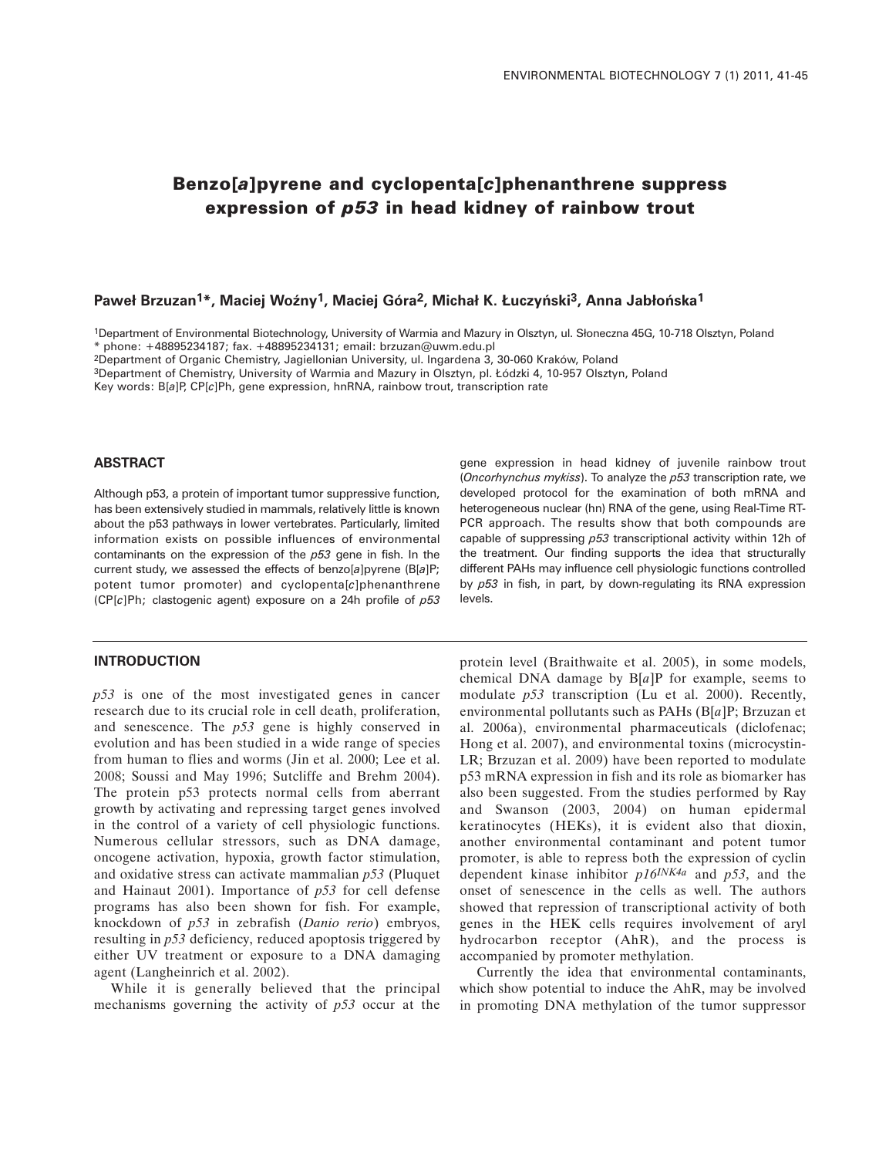# **Benzo[***a***]pyrene and cyclopenta[***c***]phenanthrene suppress expression of** *p53* **in head kidney of rainbow trout**

#### **Paweł Brzuzan1\*, Maciej Woêny1, Maciej Góra2, Michał K. Łuczyƒski3, Anna Jabłoƒska1**

1Department of Environmental Biotechnology, University of Warmia and Mazury in Olsztyn, ul. Słoneczna 45G, 10-718 Olsztyn, Poland \* phone: +48895234187; fax. +48895234131; email: brzuzan@uwm.edu.pl

2Department of Organic Chemistry, Jagiellonian University, ul. Ingardena 3, 30-060 Kraków, Poland

3Department of Chemistry, University of Warmia and Mazury in Olsztyn, pl. Łódzki 4, 10-957 Olsztyn, Poland

Key words: B[*a*]P, CP[*c*]Ph, gene expression, hnRNA, rainbow trout, transcription rate

#### **ABSTRACT**

Although p53, a protein of important tumor suppressive function, has been extensively studied in mammals, relatively little is known about the p53 pathways in lower vertebrates. Particularly, limited information exists on possible influences of environmental contaminants on the expression of the *p53* gene in fish. In the current study, we assessed the effects of benzo[*a*]pyrene (B[*a*]P; potent tumor promoter) and cyclopenta[*c*]phenanthrene (CP[*c*]Ph; clastogenic agent) exposure on a 24h profile of *p53*

## **INTRODUCTION**

*p53* is one of the most investigated genes in cancer research due to its crucial role in cell death, proliferation, and senescence. The *p53* gene is highly conserved in evolution and has been studied in a wide range of species from human to flies and worms (Jin et al. 2000; Lee et al. 2008; Soussi and May 1996; Sutcliffe and Brehm 2004). The protein p53 protects normal cells from aberrant growth by activating and repressing target genes involved in the control of a variety of cell physiologic functions. Numerous cellular stressors, such as DNA damage, oncogene activation, hypoxia, growth factor stimulation, and oxidative stress can activate mammalian *p53* (Pluquet and Hainaut 2001). Importance of *p53* for cell defense programs has also been shown for fish. For example, knockdown of *p53* in zebrafish (*Danio rerio*) embryos, resulting in *p53* deficiency, reduced apoptosis triggered by either UV treatment or exposure to a DNA damaging agent (Langheinrich et al. 2002).

While it is generally believed that the principal mechanisms governing the activity of *p53* occur at the

gene expression in head kidney of juvenile rainbow trout (*Oncorhynchus mykiss*). To analyze the *p53* transcription rate, we developed protocol for the examination of both mRNA and heterogeneous nuclear (hn) RNA of the gene, using Real-Time RT-PCR approach. The results show that both compounds are capable of suppressing *p53* transcriptional activity within 12h of the treatment. Our finding supports the idea that structurally different PAHs may influence cell physiologic functions controlled by *p53* in fish, in part, by down-regulating its RNA expression levels.

protein level (Braithwaite et al. 2005), in some models, chemical DNA damage by B[*a*]P for example, seems to modulate *p53* transcription (Lu et al. 2000). Recently, environmental pollutants such as PAHs (B[*a*]P; Brzuzan et al. 2006a), environmental pharmaceuticals (diclofenac; Hong et al. 2007), and environmental toxins (microcystin-LR; Brzuzan et al. 2009) have been reported to modulate p53 mRNA expression in fish and its role as biomarker has also been suggested. From the studies performed by Ray and Swanson (2003, 2004) on human epidermal keratinocytes (HEKs), it is evident also that dioxin, another environmental contaminant and potent tumor promoter, is able to repress both the expression of cyclin dependent kinase inhibitor *p16INK4a* and *p53*, and the onset of senescence in the cells as well. The authors showed that repression of transcriptional activity of both genes in the HEK cells requires involvement of aryl hydrocarbon receptor (AhR), and the process is accompanied by promoter methylation.

Currently the idea that environmental contaminants, which show potential to induce the AhR, may be involved in promoting DNA methylation of the tumor suppressor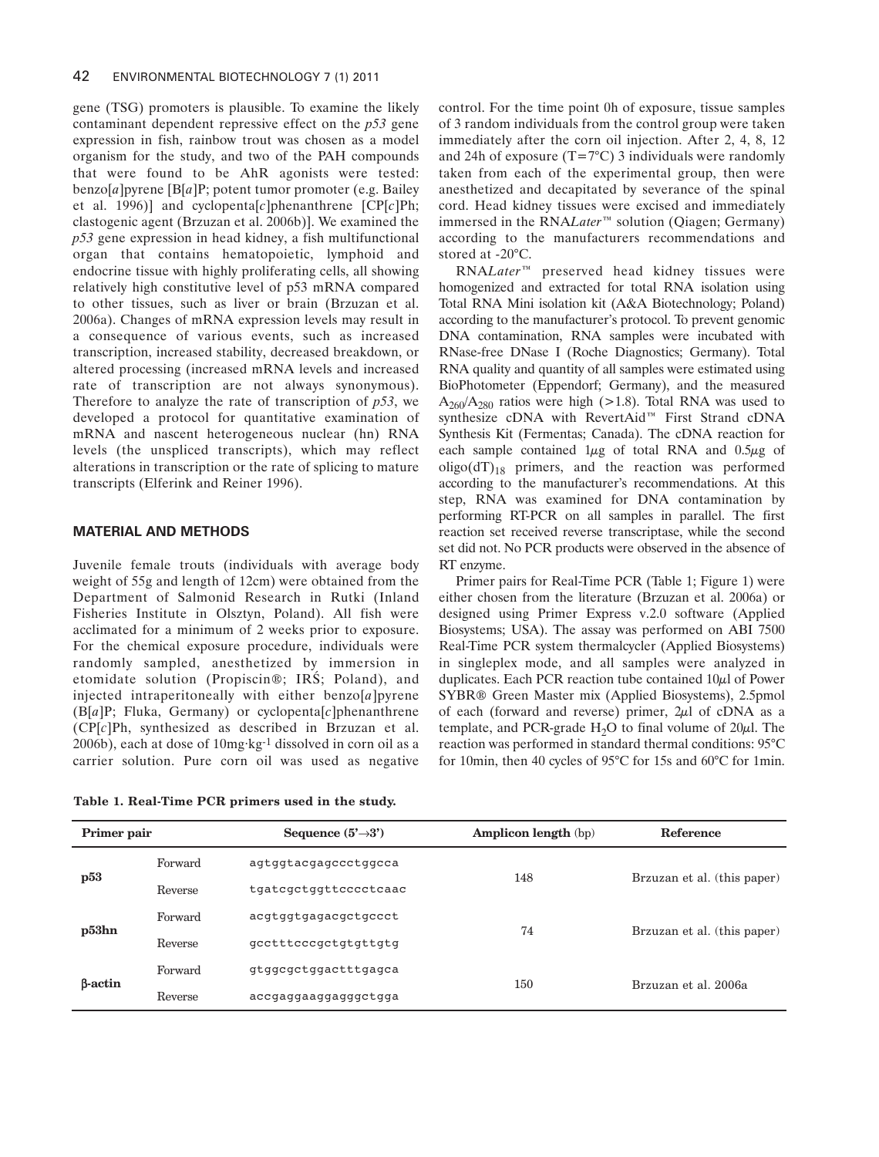gene (TSG) promoters is plausible. To examine the likely contaminant dependent repressive effect on the *p53* gene expression in fish, rainbow trout was chosen as a model organism for the study, and two of the PAH compounds that were found to be AhR agonists were tested: benzo[*a*]pyrene [B[*a*]P; potent tumor promoter (e.g. Bailey et al. 1996)] and cyclopenta[*c*]phenanthrene [CP[*c*]Ph; clastogenic agent (Brzuzan et al. 2006b)]. We examined the *p53* gene expression in head kidney, a fish multifunctional organ that contains hematopoietic, lymphoid and endocrine tissue with highly proliferating cells, all showing relatively high constitutive level of p53 mRNA compared to other tissues, such as liver or brain (Brzuzan et al. 2006a). Changes of mRNA expression levels may result in a consequence of various events, such as increased transcription, increased stability, decreased breakdown, or altered processing (increased mRNA levels and increased rate of transcription are not always synonymous). Therefore to analyze the rate of transcription of *p53*, we developed a protocol for quantitative examination of mRNA and nascent heterogeneous nuclear (hn) RNA levels (the unspliced transcripts), which may reflect alterations in transcription or the rate of splicing to mature transcripts (Elferink and Reiner 1996).

## **MATERIAL AND METHODS**

Juvenile female trouts (individuals with average body weight of 55g and length of 12cm) were obtained from the Department of Salmonid Research in Rutki (Inland Fisheries Institute in Olsztyn, Poland). All fish were acclimated for a minimum of 2 weeks prior to exposure. For the chemical exposure procedure, individuals were randomly sampled, anesthetized by immersion in etomidate solution (Propiscin®; IRŚ; Poland), and injected intraperitoneally with either benzo[*a*]pyrene (B[*a*]P; Fluka, Germany) or cyclopenta[*c*]phenanthrene (CP[*c*]Ph, synthesized as described in Brzuzan et al.  $2006b$ , each at dose of  $10mg \cdot kg^{-1}$  dissolved in corn oil as a carrier solution. Pure corn oil was used as negative

**Table 1. Real-Time PCR primers used in the study.**

control. For the time point 0h of exposure, tissue samples of 3 random individuals from the control group were taken immediately after the corn oil injection. After 2, 4, 8, 12 and 24h of exposure  $(T=7^{\circ}C)$  3 individuals were randomly taken from each of the experimental group, then were anesthetized and decapitated by severance of the spinal cord. Head kidney tissues were excised and immediately immersed in the RNA*Later*™ solution (Qiagen; Germany) according to the manufacturers recommendations and stored at -20°C.

RNA*Later*™ preserved head kidney tissues were homogenized and extracted for total RNA isolation using Total RNA Mini isolation kit (A&A Biotechnology; Poland) according to the manufacturer's protocol. To prevent genomic DNA contamination, RNA samples were incubated with RNase-free DNase I (Roche Diagnostics; Germany). Total RNA quality and quantity of all samples were estimated using BioPhotometer (Eppendorf; Germany), and the measured  $A_{260}/A_{280}$  ratios were high (>1.8). Total RNA was used to synthesize cDNA with RevertAid™ First Strand cDNA Synthesis Kit (Fermentas; Canada). The cDNA reaction for each sample contained  $1\mu$ g of total RNA and  $0.5\mu$ g of oligo( $dT$ )<sub>18</sub> primers, and the reaction was performed according to the manufacturer's recommendations. At this step, RNA was examined for DNA contamination by performing RT-PCR on all samples in parallel. The first reaction set received reverse transcriptase, while the second set did not. No PCR products were observed in the absence of RT enzyme.

Primer pairs for Real-Time PCR (Table 1; Figure 1) were either chosen from the literature (Brzuzan et al. 2006a) or designed using Primer Express v.2.0 software (Applied Biosystems; USA). The assay was performed on ABI 7500 Real-Time PCR system thermalcycler (Applied Biosystems) in singleplex mode, and all samples were analyzed in duplicates. Each PCR reaction tube contained  $10\mu$ l of Power SYBR® Green Master mix (Applied Biosystems), 2.5pmol of each (forward and reverse) primer,  $2\mu$ l of cDNA as a template, and PCR-grade  $H_2O$  to final volume of  $20\mu$ l. The reaction was performed in standard thermal conditions: 95°C for 10min, then 40 cycles of 95°C for 15s and 60°C for 1min.

| Primer pair    |         | Sequence $(5^{\prime} \rightarrow 3^{\prime})$ | <b>Amplicon length</b> (bp) | <b>Reference</b>            |
|----------------|---------|------------------------------------------------|-----------------------------|-----------------------------|
| p53            | Forward | agtggtacgagccctggcca                           | 148                         | Brzuzan et al. (this paper) |
|                | Reverse | tgatcgctggttcccctcaac                          |                             |                             |
| p53hn          | Forward | acqtqqtqaqacqctqccct                           | 74                          | Brzuzan et al. (this paper) |
|                | Reverse | gcctttcccgctgtgttgtg                           |                             |                             |
| $\beta$ -actin | Forward | gtggcgctggactttgagca                           | 150                         | Brzuzan et al. 2006a        |
|                | Reverse | accgaggaaggagggctgga                           |                             |                             |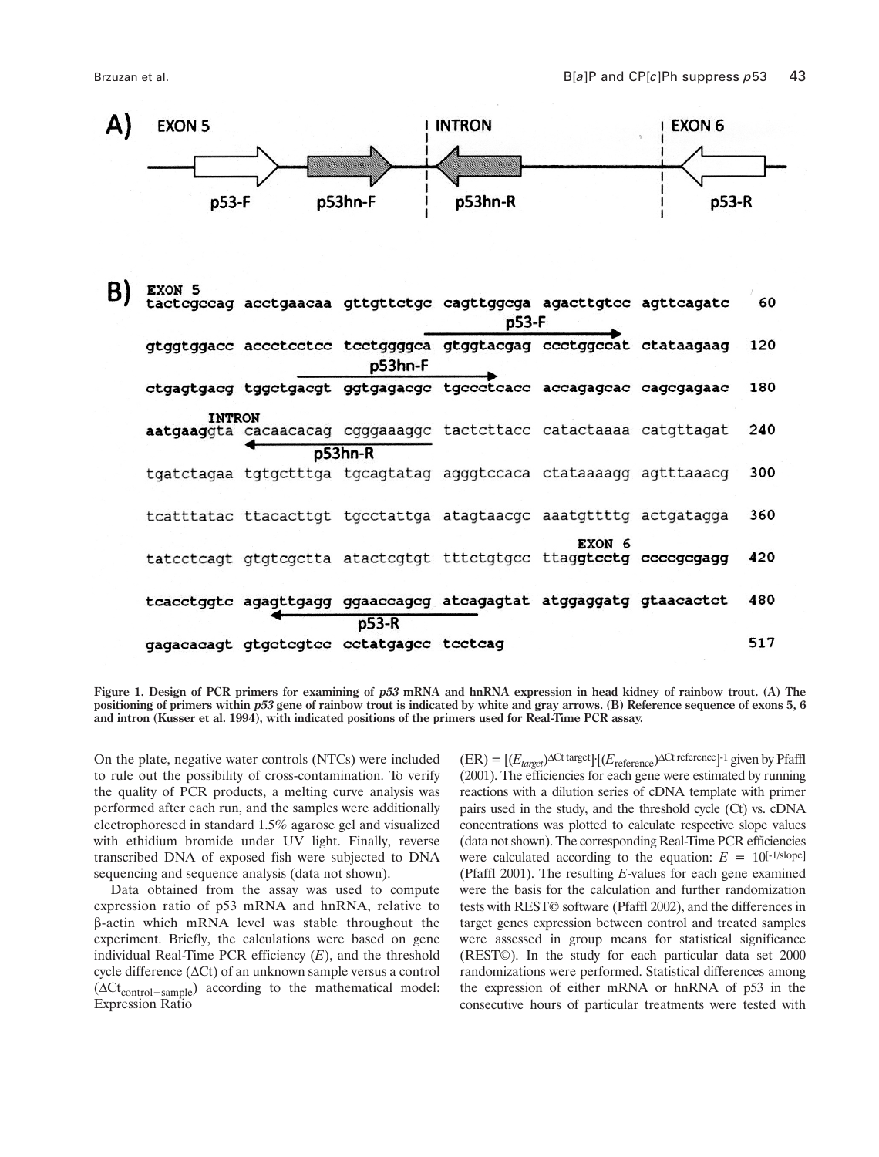

Figure 1. Design of PCR primers for examining of p53 mRNA and hnRNA expression in head kidney of rainbow trout. (A) The positioning of primers within p53 gene of rainbow trout is indicated by white and gray arrows. (B) Reference sequence of exons 5, 6 **and intron (Kusser et al. 1994), with indicated positions of the primers used for Real-Time PCR assay.**

On the plate, negative water controls (NTCs) were included to rule out the possibility of cross-contamination. To verify the quality of PCR products, a melting curve analysis was performed after each run, and the samples were additionally electrophoresed in standard 1.5% agarose gel and visualized with ethidium bromide under UV light. Finally, reverse transcribed DNA of exposed fish were subjected to DNA sequencing and sequence analysis (data not shown).

Data obtained from the assay was used to compute expression ratio of p53 mRNA and hnRNA, relative to β-actin which mRNA level was stable throughout the experiment. Briefly, the calculations were based on gene individual Real-Time PCR efficiency (*E*), and the threshold cycle difference (∆Ct) of an unknown sample versus a control (∆Ct<sub>control</sub>-sample) according to the mathematical model: Expression Ratio

(ER) = [(*Etarget* )∆Ct target ]·[(*E*reference)<sup>∆</sup>Ctreference]-1 given by Pfaffl (2001). The efficiencies for each gene were estimated by running reactions with a dilution series of cDNA template with primer pairs used in the study, and the threshold cycle (Ct) vs. cDNA concentrations was plotted to calculate respective slope values (data notshown). The corresponding Real-Time PCR efficiencies were calculated according to the equation:  $E = 10^{[-1/\text{slope}]}$ (Pfaffl 2001). The resulting *E*-values for each gene examined were the basis for the calculation and further randomization tests with REST© software (Pfaffl 2002), and the differences in target genes expression between control and treated samples were assessed in group means for statistical significance (REST©). In the study for each particular data set 2000 randomizations were performed. Statistical differences among the expression of either mRNA or hnRNA of p53 in the consecutive hours of particular treatments were tested with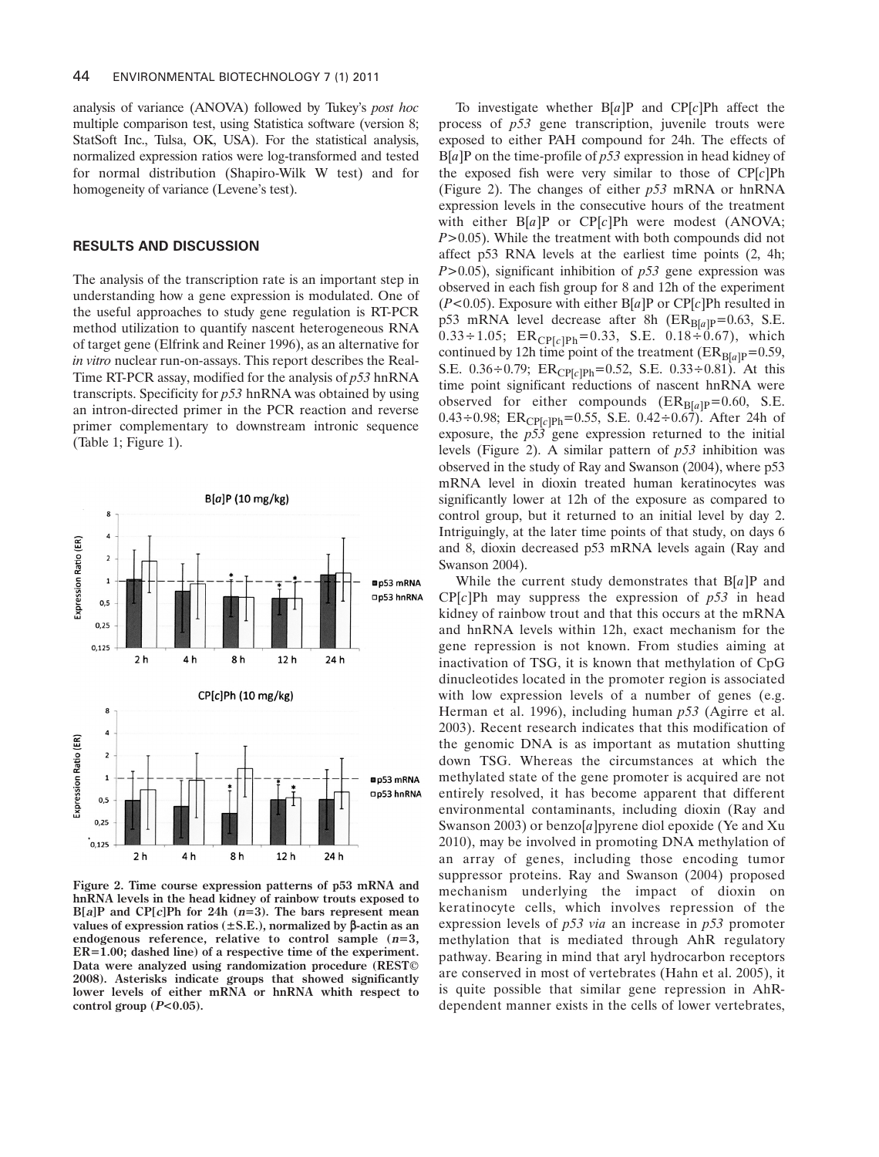analysis of variance (ANOVA) followed by Tukey's *post hoc* multiple comparison test, using Statistica software (version 8; StatSoft Inc., Tulsa, OK, USA). For the statistical analysis, normalized expression ratios were log-transformed and tested for normal distribution (Shapiro-Wilk W test) and for homogeneity of variance (Levene's test).

## **RESULTS AND DISCUSSION**

The analysis of the transcription rate is an important step in understanding how a gene expression is modulated. One of the useful approaches to study gene regulation is RT-PCR method utilization to quantify nascent heterogeneous RNA of target gene (Elfrink and Reiner 1996), as an alternative for *in vitro* nuclear run-on-assays. This report describes the Real-Time RT-PCR assay, modified for the analysis of *p53* hnRNA transcripts. Specificity for *p53* hnRNA was obtained by using an intron-directed primer in the PCR reaction and reverse primer complementary to downstream intronic sequence (Table 1; Figure 1).



**Figure 2. Time course expression patterns of p53 mRNA and hnRNA levels in the head kidney of rainbow trouts exposed to B[a]P and CP[c]Ph for 24h (n=3). The bars represent mean values of expression ratios (±S.E.), normalized by** β**-actin as an endogenous reference, relative to control sample (n=3, ER=1.00; dashed line) of a respective time of the experiment. Data were analyzed using randomization procedure (REST© 2008). Asterisks indicate groups that showed significantly lower levels of either mRNA or hnRNA whith respect to control group (P<0.05).**

To investigate whether B[*a*]P and CP[*c*]Ph affect the process of *p53* gene transcription, juvenile trouts were exposed to either PAH compound for 24h. The effects of B[*a*]P on the time-profile of *p53* expression in head kidney of the exposed fish were very similar to those of CP[*c*]Ph (Figure 2). The changes of either *p53* mRNA or hnRNA expression levels in the consecutive hours of the treatment with either B[*a*]P or CP[*c*]Ph were modest (ANOVA; *P*>0.05). While the treatment with both compounds did not affect p53 RNA levels at the earliest time points (2, 4h; *P*>0.05), significant inhibition of *p53* gene expression was observed in each fish group for 8 and 12h of the experiment (*P*<0.05). Exposure with either B[*a*]P or CP[*c*]Ph resulted in p53 mRNA level decrease after 8h ( $ER_{B[a]P} = 0.63$ , S.E.  $0.33 \div 1.05$ ; ER<sub>CP[c]Ph</sub>=0.33, S.E.  $0.18 \div 0.67$ ), which continued by 12h time point of the treatment ( $ER_{B[a]P}=0.59$ , S.E.  $0.36 \div 0.79$ ;  $ER<sub>CP1c1Ph</sub>=0.52$ , S.E.  $0.33 \div 0.81$ ). At this time point significant reductions of nascent hnRNA were observed for either compounds  $(ER_{B[a]P}=0.60, S.E.$ 0.43÷0.98; ER<sub>CP[c]Ph</sub>=0.55, S.E. 0.42÷0.67). After 24h of exposure, the  $p53$  gene expression returned to the initial levels (Figure 2). A similar pattern of *p53* inhibition was observed in the study of Ray and Swanson (2004), where p53 mRNA level in dioxin treated human keratinocytes was significantly lower at 12h of the exposure as compared to control group, but it returned to an initial level by day 2. Intriguingly, at the later time points of that study, on days 6 and 8, dioxin decreased p53 mRNA levels again (Ray and Swanson 2004).

While the current study demonstrates that B[*a*]P and CP[*c*]Ph may suppress the expression of *p53* in head kidney of rainbow trout and that this occurs at the mRNA and hnRNA levels within 12h, exact mechanism for the gene repression is not known. From studies aiming at inactivation of TSG, it is known that methylation of CpG dinucleotides located in the promoter region is associated with low expression levels of a number of genes (e.g. Herman et al. 1996), including human *p53* (Agirre et al. 2003). Recent research indicates that this modification of the genomic DNA is as important as mutation shutting down TSG. Whereas the circumstances at which the methylated state of the gene promoter is acquired are not entirely resolved, it has become apparent that different environmental contaminants, including dioxin (Ray and Swanson 2003) or benzo[*a*]pyrene diol epoxide (Ye and Xu 2010), may be involved in promoting DNA methylation of an array of genes, including those encoding tumor suppressor proteins. Ray and Swanson (2004) proposed mechanism underlying the impact of dioxin on keratinocyte cells, which involves repression of the expression levels of *p53 via* an increase in *p53* promoter methylation that is mediated through AhR regulatory pathway. Bearing in mind that aryl hydrocarbon receptors are conserved in most of vertebrates (Hahn et al. 2005), it is quite possible that similar gene repression in AhRdependent manner exists in the cells of lower vertebrates,